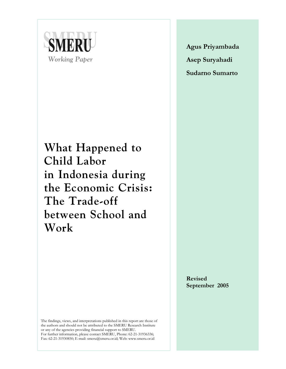

**What Happened to Child Labor in Indonesia during the Economic Crisis: The Trade-off between School and Work**

**Agus Priyambada Asep Suryahadi Sudarno Sumarto**

**Revised September 2005** 

The findings, views, and interpretations published in this report are those of the authors and should not be attributed to the SMERU Research Institute or any of the agencies providing financial support to SMERU. For further information, please contact SMERU, Phone: 62-21-31936336; Fax: 62-21-31930850; E-mail: smeru@smeru.or.id; Web: www.smeru.or.id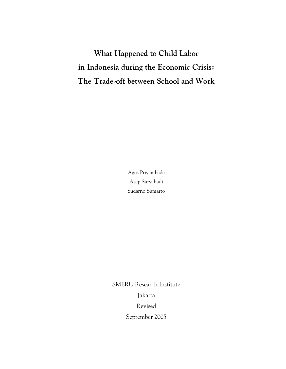**What Happened to Child Labor in Indonesia during the Economic Crisis: The Trade-off between School and Work** 

> Agus Priyambada Asep Suryahadi Sudarno Sumarto

SMERU Research Institute Jakarta Revised September 2005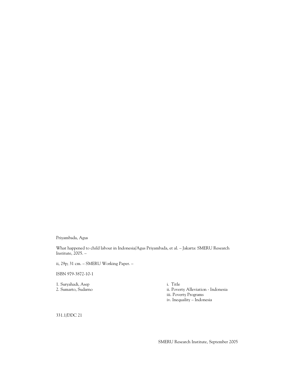Priyambada, Agus

What happened to child labour in Indonesia/Agus Priyambada, et al. – Jakarta: SMERU Research Institute, 2005. –

ii, 29p; 31 cm. – SMERU Working Paper. –

ISBN 979-3872-10-1

1. Suryahadi, Asep i. Title<br>2. Sumarto, Sudarno ii. Pover

ii. Poverty Alleviation - Indonesia iii. Poverty Programs iv. Inequality – Indonesia

331.1/DDC 21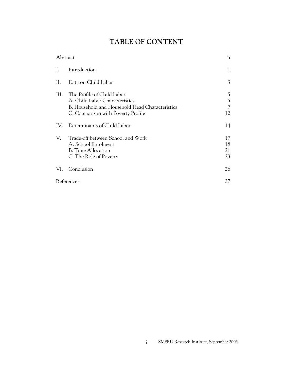# **TABLE OF CONTENT**

| Abstract |                                                                                                                                                       | ii                   |
|----------|-------------------------------------------------------------------------------------------------------------------------------------------------------|----------------------|
| L.       | Introduction                                                                                                                                          | 1                    |
| П.       | Data on Child Labor                                                                                                                                   | 3                    |
| III.     | The Profile of Child Labor<br>A. Child Labor Characteristics<br>B. Household and Household Head Characteristics<br>C. Comparison with Poverty Profile | 5<br>5<br>7<br>12    |
| IV.      | Determinants of Child Labor                                                                                                                           | 14                   |
| V.       | Trade-off between School and Work<br>A. School Enrolment<br><b>B.</b> Time Allocation<br>C. The Role of Poverty                                       | 17<br>18<br>21<br>23 |
| VI.      | Conclusion                                                                                                                                            | 26                   |
|          | References                                                                                                                                            | 27                   |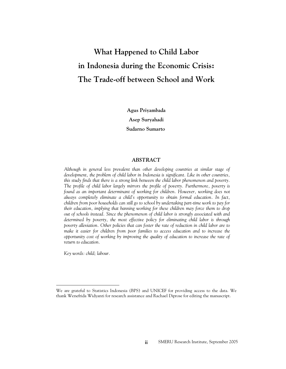# **What Happened to Child Labor in Indonesia during the Economic Crisis: The Trade-off between School and Work**

**Agus Priyambada Asep Suryahadi Sudarno Sumarto**\*

### *ABSTRACT*

*Although in general less prevalent than other developing countries at similar stage of development, the problem of child labor in Indonesia is significant. Like in other countries, this study finds that there is a strong link between the child labor phenomenon and poverty. The profile of child labor largely mirrors the profile of poverty. Furthermore, poverty is*  found as an important determinant of working for children. However, working does not *always completely eliminate a child's opportunity to obtain formal education. In fact, children from poor households can still go to school by undertaking part-time work to pay for their education, implying that banning working for these children may force them to drop out of schools instead. Since the phenomenon of child labor is strongly associated with and determined by poverty, the most effective policy for eliminating child labor is through poverty alleviation. Other policies that can foster the rate of reduction in child labor are to make it easier for children from poor families to access education and to increase the opportunity cost of working by improving the quality of education to increase the rate of return to education.* 

*Key words: child; labour.* 

We are grateful to Statistics Indonesia (BPS) and UNICEF for providing access to the data. We thank Wenefrida Widyanti for research assistance and Rachael Diprose for editing the manuscript.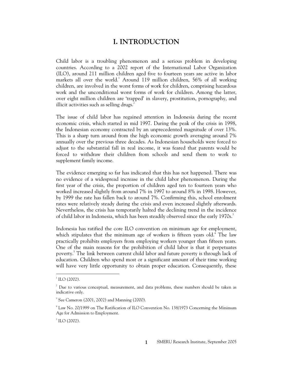# **I. INTRODUCTION**

Child labor is a troubling phenomenon and a serious problem in developing countries. According to a 2002 report of the International Labor Organization (ILO), around 211 million children aged five to fourteen years are active in labor markets all over the world.<sup>1</sup> Around 119 million children, 56% of all working children, are involved in the worst forms of work for children, comprising hazardous work and the unconditional worst forms of work for children. Among the latter, over eight million children are 'trapped' in slavery, prostitution, pornography, and illicit activities such as selling drugs. $<sup>2</sup>$ </sup>

The issue of child labor has regained attention in Indonesia during the recent economic crisis, which started in mid 1997. During the peak of the crisis in 1998, the Indonesian economy contracted by an unprecedented magnitude of over 13%. This is a sharp turn around from the high economic growth averaging around 7% annually over the previous three decades. As Indonesian households were forced to adjust to the substantial fall in real income, it was feared that parents would be forced to withdraw their children from schools and send them to work to supplement family income.

The evidence emerging so far has indicated that this has not happened. There was no evidence of a widespread increase in the child labor phenomenon. During the first year of the crisis, the proportion of children aged ten to fourteen years who worked increased slightly from around 7% in 1997 to around 8% in 1998. However, by 1999 the rate has fallen back to around 7%. Confirming this, school enrolment rates were relatively steady during the crisis and even increased slightly afterwards. Nevertheless, the crisis has temporarily halted the declining trend in the incidence of child labor in Indonesia, which has been steadily observed since the early 1970s.

Indonesia has ratified the core ILO convention on minimum age for employment, which stipulates that the minimum age of workers is fifteen years old.<sup>4</sup> The law practically prohibits employers from employing workers younger than fifteen years. One of the main reasons for the prohibition of child labor is that it perpetuates poverty.<sup>5</sup> The link between current child labor and future poverty is through lack of education. Children who spend most or a significant amount of their time working will have very little opportunity to obtain proper education. Consequently, these

 $1^1$  ILO (2002).

 $2^2$  Due to various conceptual, measurement, and data problems, these numbers should be taken as indicative only.

<sup>3</sup> See Cameron (2001, 2002) and Manning (2000).

<sup>4</sup> Law No. 20/1999 on The Ratification of ILO Convention No. 138/1973 Concerning the Minimum Age for Admission to Employment.

 $^5$  ILO (2002).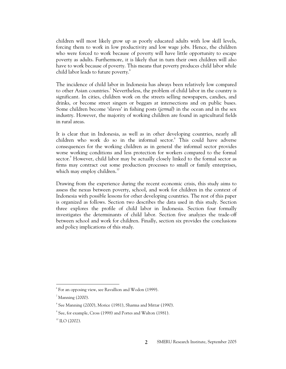children will most likely grow up as poorly educated adults with low skill levels, forcing them to work in low productivity and low wage jobs. Hence, the children who were forced to work because of poverty will have little opportunity to escape poverty as adults. Furthermore, it is likely that in turn their own children will also have to work because of poverty. This means that poverty produces child labor while child labor leads to future poverty.<sup>6</sup>

The incidence of child labor in Indonesia has always been relatively low compared to other Asian countries.<sup>7</sup> Nevertheless, the problem of child labor in the country is significant. In cities, children work on the streets selling newspapers, candies, and drinks, or become street singers or beggars at intersections and on public buses. Some children become 'slaves' in fishing posts (*jermal*) in the ocean and in the sex industry. However, the majority of working children are found in agricultural fields in rural areas.

It is clear that in Indonesia, as well as in other developing countries, nearly all children who work do so in the informal sector.<sup>8</sup> This could have adverse consequences for the working children as in general the informal sector provides worse working conditions and less protection for workers compared to the formal sector.<sup>9</sup> However, child labor may be actually closely linked to the formal sector as firms may contract out some production processes to small or family enterprises, which may employ children. $^{10}$ 

Drawing from the experience during the recent economic crisis, this study aims to assess the nexus between poverty, school, and work for children in the context of Indonesia with possible lessons for other developing countries. The rest of this paper is organized as follows. Section two describes the data used in this study. Section three explores the profile of child labor in Indonesia. Section four formally investigates the determinants of child labor. Section five analyzes the trade-off between school and work for children. Finally, section six provides the conclusions and policy implications of this study.

 $6$  For an opposing view, see Ravallion and Wodon (1999).

 $^7$  Manning (2000).

 $8$  See Manning (2000), Morice (1981), Sharma and Mittar (1990).

<sup>9</sup> See, for example, Cross (1998) and Portes and Walton (1981).

 $10$  ILO (2002).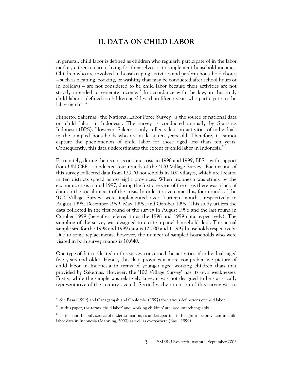# **II. DATA ON CHILD LABOR**

In general, child labor is defined as children who regularly participate of in the labor market, either to earn a living for themselves or to supplement household incomes. Children who are involved in housekeeping activities and perform household chores – such as cleaning, cooking, or washing that may be conducted after school hours or in holidays – are not considered to be child labor because their activities are not strictly intended to generate income.<sup>11</sup> In accordance with the law, in this study child labor is defined as children aged less than fifteen years who participate in the labor market.<sup>12</sup>

Hitherto, Sakernas (the National Labor Force Survey) is the source of national data on child labor in Indonesia. The survey is conducted annually by Statistics Indonesia (BPS). However, Sakernas only collects data on activities of individuals in the sampled households who are at least ten years old. Therefore, it cannot capture the phenomenon of child labor for those aged less than ten years. Consequently, this data underestimates the extent of child labor in Indonesia.<sup>1</sup>

Fortunately, during the recent economic crisis in 1998 and 1999, BPS – with support from UNICEF – conducted four rounds of the '100 Village Survey'. Each round of this survey collected data from 12,000 households in 100 villages, which are located in ten districts spread across eight provinces. When Indonesia was struck by the economic crisis in mid 1997, during the first one year of the crisis there was a lack of data on the social impact of the crisis. In order to overcome this, four rounds of the '100 Village Survey' were implemented over fourteen months, respectively in August 1998, December 1999, May 1999, and October 1999. This study utilizes the data collected in the first round of the survey in August 1998 and the last round in October 1999 (hereafter referred to as the 1998 and 1999 data respectively). The sampling of the survey was designed to create a panel household data. The actual sample size for the 1998 and 1999 data is 12,000 and 11,997 households respectively. Due to some replacements, however, the number of sampled households who were visited in both survey rounds is 10,640.

One type of data collected in this survey concerned the activities of individuals aged five years and older. Hence, this data provides a more comprehensive picture of child labor in Indonesia in terms of younger aged working children than that provided by Sakernas. However, the '100 Village Survey' has its own weaknesses. Firstly, while the sample was relatively large, it was not designed to be statistically representative of the country overall. Secondly, the intention of this survey was to

 $11$  See Basu (1999) and Canagarajah and Coulombe (1997) for various definitions of child labor.

 $12$  In this paper, the terms 'child labor' and 'working children' are used interchangeably.

<sup>&</sup>lt;sup>13</sup> This is not the only source of underestimation, as underreporting is thought to be prevalent in child labor data in Indonesia (Manning, 2000) as well as everywhere (Basu, 1999).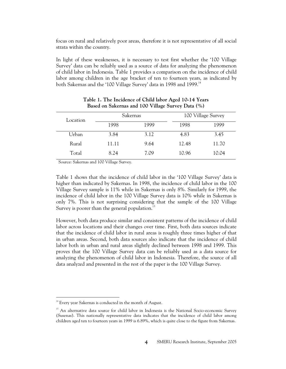focus on rural and relatively poor areas, therefore it is not representative of all social strata within the country.

In light of these weaknesses, it is necessary to test first whether the '100 Village Survey' data can be reliably used as a source of data for analyzing the phenomenon of child labor in Indonesia. Table 1 provides a comparison on the incidence of child labor among children in the age bracket of ten to fourteen years, as indicated by both Sakernas and the '100 Village Survey' data in 1998 and 1999.<sup>14</sup>

| Location | Sakernas |      | 100 Village Survey |       |
|----------|----------|------|--------------------|-------|
|          | 1998     | 1999 | 1998               | 1999  |
| Urban    | 3.84     | 3.12 | 4.83               | 3.45  |
| Rural    | 11.11    | 9.64 | 12.48              | 11.70 |
| Total    | 8.24     | 7.09 | 10.96              | 10.04 |

| Table 1. The Incidence of Child labor Aged 10-14 Years |  |
|--------------------------------------------------------|--|
| Based on Sakernas and 100 Village Survey Data (%)      |  |

Source: Sakernas and 100 Village Survey.

Table 1 shows that the incidence of child labor in the '100 Village Survey' data is higher than indicated by Sakernas. In 1998, the incidence of child labor in the 100 Village Survey sample is 11% while in Sakernas is only 8%. Similarly for 1999, the incidence of child labor in the 100 Village Survey data is 10% while in Sakernas is only 7%. This is not surprising considering that the sample of the 100 Village Survey is poorer than the general population.<sup>1</sup>

However, both data produce similar and consistent patterns of the incidence of child labor across locations and their changes over time. First, both data sources indicate that the incidence of child labor in rural areas is roughly three times higher of that in urban areas. Second, both data sources also indicate that the incidence of child labor both in urban and rural areas slightly declined between 1998 and 1999. This proves that the 100 Village Survey data can be reliably used as a data source for analyzing the phenomenon of child labor in Indonesia. Therefore, the source of all data analyzed and presented in the rest of the paper is the 100 Village Survey.

<sup>&</sup>lt;sup>14</sup> Every year Sakernas is conducted in the month of August.

<sup>&</sup>lt;sup>15</sup> An alternative data source for child labor in Indonesia is the National Socio-economic Survey (Susenas). This nationally representative data indicates that the incidence of child labor among children aged ten to fourteen years in 1999 is 6.89%, which is quite close to the figure from Sakernas.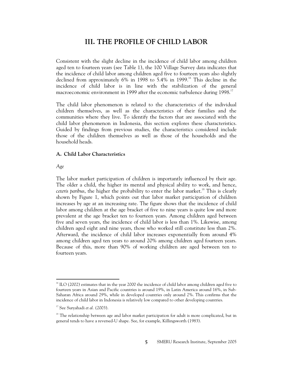# **III. THE PROFILE OF CHILD LABOR**

Consistent with the slight decline in the incidence of child labor among children aged ten to fourteen years (see Table 1), the 100 Village Survey data indicates that the incidence of child labor among children aged five to fourteen years also slightly declined from approximately 6% in 1998 to 5.4% in 1999.<sup>16</sup> This decline in the incidence of child labor is in line with the stabilization of the general macroeconomic environment in 1999 after the economic turbulence during 1998.<sup>17</sup>

The child labor phenomenon is related to the characteristics of the individual children themselves, as well as the characteristics of their families and the communities where they live. To identify the factors that are associated with the child labor phenomenon in Indonesia, this section explores these characteristics. Guided by findings from previous studies, the characteristics considered include those of the children themselves as well as those of the households and the household heads.

# **A. Child Labor Characteristics**

#### *Age*

 $\overline{a}$ 

The labor market participation of children is importantly influenced by their age. The older a child, the higher its mental and physical ability to work, and hence, *ceteris paribus*, the higher the probability to enter the labor market.<sup>18</sup> This is clearly shown by Figure 1, which points out that labor market participation of children increases by age at an increasing rate. The figure shows that the incidence of child labor among children at the age bracket of five to nine years is quite low and more prevalent at the age bracket ten to fourteen years. Among children aged between five and seven years, the incidence of child labor is less than 1%. Likewise, among children aged eight and nine years, those who worked still constitute less than 2%. Afterward, the incidence of child labor increases exponentially from around 4% among children aged ten years to around 20% among children aged fourteen years. Because of this, more than 90% of working children are aged between ten to fourteen years.

<sup>&</sup>lt;sup>16</sup> ILO (2002) estimates that in the year 2000 the incidence of child labor among children aged five to fourteen years in Asian and Pacific countries is around 19%, in Latin America around 16%, in Sub-Saharan Africa around 29%, while in developed countries only around 2%. This confirms that the incidence of child labor in Indonesia is relatively low compared to other developing countries.

<sup>&</sup>lt;sup>17</sup> See Suryahadi *et al.* (2003).

<sup>&</sup>lt;sup>18</sup> The relationship between age and labor market participation for adult is more complicated, but in general tends to have a reversed-U shape. See, for example, Killingsworth (1983).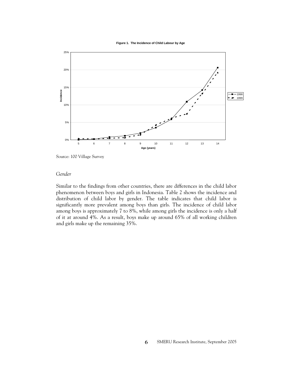**Figure 1. The Incidence of Child Labour by Age**



Source: 100 Village Survey

### *Gender*

Similar to the findings from other countries, there are differences in the child labor phenomenon between boys and girls in Indonesia. Table 2 shows the incidence and distribution of child labor by gender. The table indicates that child labor is significantly more prevalent among boys than girls. The incidence of child labor among boys is approximately 7 to 8%, while among girls the incidence is only a half of it at around 4%. As a result, boys make up around 65% of all working children and girls make up the remaining 35%.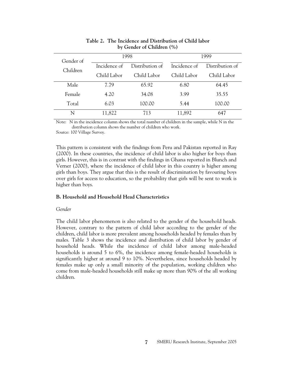| Gender of |              | 1998            | 1999         |                 |  |
|-----------|--------------|-----------------|--------------|-----------------|--|
| Children  | Incidence of | Distribution of | Incidence of | Distribution of |  |
|           | Child Labor  | Child Labor     | Child Labor  | Child Labor     |  |
| Male      | 7.79         | 65.92           | 6.80         | 64.45           |  |
| Female    | 4.20         | 34.08           | 3.99         | 35.55           |  |
| Total     | 6.03         | 100.00          | 5.44         | 100.00          |  |
| N         | 11,822       | 713             | 11,892       | 647             |  |

# **Table 2. The Incidence and Distribution of Child labor by Gender of Children (%)**

Note: N in the incidence column shows the total number of children in the sample, while N in the distribution column shows the number of children who work.

Source: 100 Village Survey.

This pattern is consistent with the findings from Peru and Pakistan reported in Ray (2000). In these countries, the incidence of child labor is also higher for boys than girls. However, this is in contrast with the findings in Ghana reported in Blunch and Verner (2000), where the incidence of child labor in this country is higher among girls than boys. They argue that this is the result of discrimination by favouring boys over girls for access to education, so the probability that girls will be sent to work is higher than boys.

# **B. Household and Household Head Characteristics**

# *Gender*

The child labor phenomenon is also related to the gender of the household heads. However, contrary to the pattern of child labor according to the gender of the children, child labor is more prevalent among households headed by females than by males. Table 3 shows the incidence and distribution of child labor by gender of household heads. While the incidence of child labor among male-headed households is around 5 to 6%, the incidence among female-headed households is significantly higher at around 9 to 10%. Nevertheless, since households headed by females make up only a small minority of the population, working children who come from male-headed households still make up more than 90% of the all working children.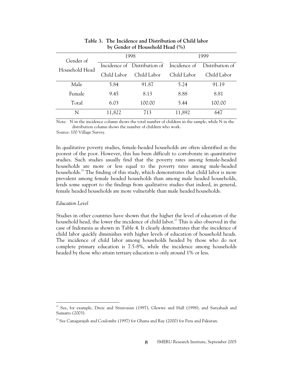| Gender of      |             | 1998                                      | 1999        |                 |  |
|----------------|-------------|-------------------------------------------|-------------|-----------------|--|
| Household Head |             | Incidence of Distribution of Incidence of |             | Distribution of |  |
|                | Child Labor | Child Labor                               | Child Labor | Child Labor     |  |
| Male           | 5.84        | 91.87                                     | 5.24        | 91.19           |  |
| Female         | 9.45        | 8.13                                      | 8.88        | 8.81            |  |
| Total          | 6.03        | 100.00                                    | 5.44        | 100.00          |  |
| N              | 11,822      | 713                                       | 11,892      | 647             |  |

# **Table 3. The Incidence and Distribution of Child labor by Gender of Household Head (%)**

Note: N in the incidence column shows the total number of children in the sample, while N in the distribution column shows the number of children who work.

Source: 100 Village Survey.

In qualitative poverty studies, female-headed households are often identified as the poorest of the poor. However, this has been difficult to corroborate in quantitative studies. Such studies usually find that the poverty rates among female-headed households are more or less equal to the poverty rates among male-headed households.<sup>19</sup> The finding of this study, which demonstrates that child labor is more prevalent among female headed households than among male headed households, lends some support to the findings from qualitative studies that indeed, in general, female headed households are more vulnerable than male headed households.

#### *Education Level*

 $\overline{a}$ 

Studies in other countries have shown that the higher the level of education of the household head, the lower the incidence of child labor.<sup>20</sup> This is also observed in the case of Indonesia as shown in Table 4. It clearly demonstrates that the incidence of child labor quickly diminishes with higher levels of education of household heads. The incidence of child labor among households headed by those who do not complete primary education is 7.5-8%, while the incidence among households headed by those who attain tertiary education is only around 1% or less.

<sup>&</sup>lt;sup>19</sup> See, for example, Dreze and Srinivasan (1997), Glewwe and Hall (1998), and Suryahadi and Sumarto (2003).

 $20$  See Canagarajah and Coulombe (1997) for Ghana and Ray (2000) for Peru and Pakistan.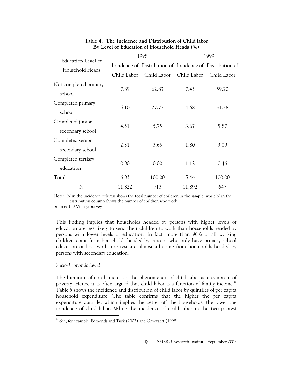| Education Level of    |                                                           | 1998        | 1999        |             |  |
|-----------------------|-----------------------------------------------------------|-------------|-------------|-------------|--|
| Household Heads       | Incidence of Distribution of Incidence of Distribution of |             |             |             |  |
|                       | Child Labor                                               | Child Labor | Child Labor | Child Labor |  |
| Not completed primary | 7.89                                                      | 62.83       | 7.45        | 59.20       |  |
| school                |                                                           |             |             |             |  |
| Completed primary     |                                                           |             |             |             |  |
| school                | 5.10                                                      | 27.77       | 4.68        | 31.38       |  |
| Completed junior      |                                                           |             |             |             |  |
| secondary school      | 4.51                                                      | 5.75        | 3.67        | 5.87        |  |
| Completed senior      |                                                           |             |             |             |  |
| secondary school      | 2.31                                                      | 3.65        | 1.80        | 3.09        |  |
| Completed tertiary    |                                                           |             |             |             |  |
| education             | 0.00                                                      | 0.00        | 1.12        | 0.46        |  |
| Total                 | 6.03                                                      | 100.00      | 5.44        | 100.00      |  |
| N                     | 11,822                                                    | 713         | 11,892      | 647         |  |

# **Table 4. The Incidence and Distribution of Child labor By Level of Education of Household Heads (%)**

Note: N in the incidence column shows the total number of children in the sample, while N in the distribution column shows the number of children who work.

Source: 100 Village Survey

This finding implies that households headed by persons with higher levels of education are less likely to send their children to work than households headed by persons with lower levels of education. In fact, more than 90% of all working children come from households headed by persons who only have primary school education or less, while the rest are almost all come from households headed by persons with secondary education.

# *Socio-Economic Level*

 $\overline{a}$ 

The literature often characterizes the phenomenon of child labor as a symptom of poverty. Hence it is often argued that child labor is a function of family income.<sup>21</sup> Table 5 shows the incidence and distribution of child labor by quintiles of per capita household expenditure. The table confirms that the higher the per capita expenditure quintile, which implies the better off the households, the lower the incidence of child labor. While the incidence of child labor in the two poorest

 $21$  See, for example, Edmonds and Turk (2002) and Grootaert (1998).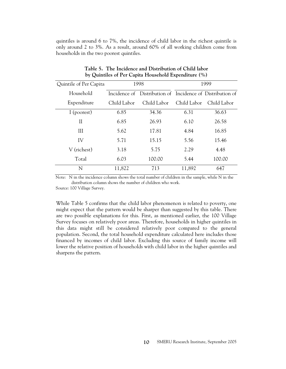quintiles is around 6 to 7%, the incidence of child labor in the richest quintile is only around 2 to 3%. As a result, around 60% of all working children come from households in the two poorest quintiles.

| Quintile of Per Capita | 1998        |                                                           | 1999        |             |  |
|------------------------|-------------|-----------------------------------------------------------|-------------|-------------|--|
| Household              |             | Incidence of Distribution of Incidence of Distribution of |             |             |  |
| Expenditure            | Child Labor | Child Labor                                               | Child Labor | Child Labor |  |
| I (poorest)            | 6.85        | 34.36                                                     | 6.31        | 36.63       |  |
| $\mathop{\mathrm{II}}$ | 6.85        | 26.93                                                     | 6.10        | 26.58       |  |
| III                    | 5.62        | 17.81                                                     | 4.84        | 16.85       |  |
| IV                     | 5.71        | 15.15                                                     | 5.56        | 15.46       |  |
| V (richest)            | 3.18        | 5.75                                                      | 2.29        | 4.48        |  |
| Total                  | 6.03        | 100.00                                                    | 5.44        | 100.00      |  |
| N                      | 11,822      | 713                                                       | 11,892      | 647         |  |

**Table 5. The Incidence and Distribution of Child labor by Quintiles of Per Capita Household Expenditure (%)** 

Note: N in the incidence column shows the total number of children in the sample, while N in the distribution column shows the number of children who work.

Source: 100 Village Survey.

While Table 5 confirms that the child labor phenomenon is related to poverty, one might expect that the pattern would be sharper than suggested by this table. There are two possible explanations for this. First, as mentioned earlier, the 100 Village Survey focuses on relatively poor areas. Therefore, households in higher quintiles in this data might still be considered relatively poor compared to the general population. Second, the total household expenditure calculated here includes those financed by incomes of child labor. Excluding this source of family income will lower the relative position of households with child labor in the higher quintiles and sharpens the pattern.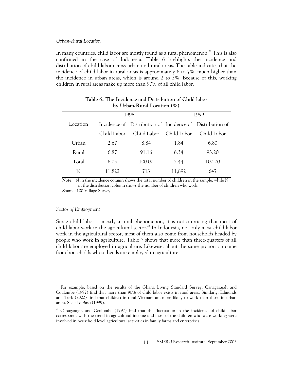### *Urban-Rural Location*

In many countries, child labor are mostly found as a rural phenomenon.<sup>22</sup> This is also confirmed in the case of Indonesia. Table 6 highlights the incidence and distribution of child labor across urban and rural areas. The table indicates that the incidence of child labor in rural areas is approximately 6 to 7%, much higher than the incidence in urban areas, which is around 2 to 3%. Because of this, working children in rural areas make up more than 90% of all child labor.

| $\upsilon$ $\upsilon$ $\upsilon$ $\upsilon$ $\upsilon$ $\upsilon$ $\upsilon$ $\upsilon$ $\upsilon$ $\upsilon$ $\upsilon$ $\upsilon$ $\upsilon$ $\upsilon$ $\upsilon$ $\upsilon$ $\upsilon$ $\upsilon$ $\upsilon$ $\upsilon$ $\upsilon$ $\upsilon$ $\upsilon$ $\upsilon$ $\upsilon$ $\upsilon$ $\upsilon$ $\upsilon$ $\upsilon$ $\upsilon$ $\upsilon$ $\upsilon$ $\upsilon$ $\upsilon$ $\upsilon$ $\upsilon$ $\upsilon$ |             |                                                           |        |             |  |  |
|------------------------------------------------------------------------------------------------------------------------------------------------------------------------------------------------------------------------------------------------------------------------------------------------------------------------------------------------------------------------------------------------------------------------|-------------|-----------------------------------------------------------|--------|-------------|--|--|
|                                                                                                                                                                                                                                                                                                                                                                                                                        |             | 1998                                                      |        | 1999        |  |  |
| Location                                                                                                                                                                                                                                                                                                                                                                                                               |             | Incidence of Distribution of Incidence of Distribution of |        |             |  |  |
|                                                                                                                                                                                                                                                                                                                                                                                                                        | Child Labor | Child Labor Child Labor                                   |        | Child Labor |  |  |
| Urban                                                                                                                                                                                                                                                                                                                                                                                                                  | 2.67        | 8.84                                                      | 1.84   | 6.80        |  |  |
| Rural                                                                                                                                                                                                                                                                                                                                                                                                                  | 6.87        | 91.16                                                     | 6.34   | 93.20       |  |  |
| Total                                                                                                                                                                                                                                                                                                                                                                                                                  | 6.03        | 100.00                                                    | 5.44   | 100.00      |  |  |
| N                                                                                                                                                                                                                                                                                                                                                                                                                      | 11,822      | 713                                                       | 11,892 | 647         |  |  |

### **Table 6. The Incidence and Distribution of Child labor by Urban-Rural Location (%)**

Note: N in the incidence column shows the total number of children in the sample, while N in the distribution column shows the number of children who work.

Source: 100 Village Survey.

### *Sector of Employment*

 $\overline{a}$ 

Since child labor is mostly a rural phenomenon, it is not surprising that most of child labor work in the agricultural sector.<sup>23</sup> In Indonesia, not only most child labor work in the agricultural sector, most of them also come from households headed by people who work in agriculture. Table 7 shows that more than three-quarters of all child labor are employed in agriculture. Likewise, about the same proportion come from households whose heads are employed in agriculture.

<sup>&</sup>lt;sup>22</sup> For example, based on the results of the Ghana Living Standard Survey, Canagarajah and Coulombe (1997) find that more than 90% of child labor exists in rural areas. Similarly, Edmonds and Turk (2002) find that children in rural Vietnam are more likely to work than those in urban areas. See also Basu (1999).

<sup>&</sup>lt;sup>23</sup> Canagarajah and Coulombe (1997) find that the fluctuation in the incidence of child labor corresponds with the trend in agricultural income and most of the children who were working were involved in household level agricultural activities in family farms and enterprises.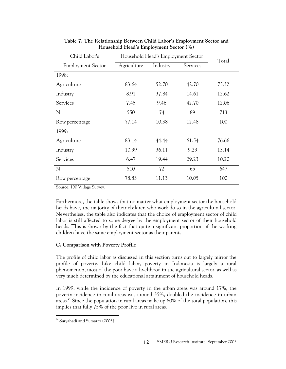| Child Labor's            | Household Head's Employment Sector |          | Total    |       |
|--------------------------|------------------------------------|----------|----------|-------|
| <b>Employment Sector</b> | Agriculture                        | Industry | Services |       |
| 1998:                    |                                    |          |          |       |
| Agriculture              | 83.64                              | 52.70    | 42.70    | 75.32 |
| Industry                 | 8.91                               | 37.84    | 14.61    | 12.62 |
| Services                 | 7.45                               | 9.46     | 42.70    | 12.06 |
| N                        | 550                                | 74       | 89       | 713   |
| Row percentage           | 77.14                              | 10.38    | 12.48    | 100   |
| 1999:                    |                                    |          |          |       |
| Agriculture              | 83.14                              | 44.44    | 61.54    | 76.66 |
| Industry                 | 10.39                              | 36.11    | 9.23     | 13.14 |
| Services                 | 6.47                               | 19.44    | 29.23    | 10.20 |
| N                        | 510                                | 72       | 65       | 647   |
| Row percentage           | 78.83                              | 11.13    | 10.05    | 100   |

**Table 7. The Relationship Between Child Labor's Employment Sector and Household Head's Employment Sector (%)** 

Source: 100 Village Survey.

Furthermore, the table shows that no matter what employment sector the household heads have, the majority of their children who work do so in the agricultural sector. Nevertheless, the table also indicates that the choice of employment sector of child labor is still affected to some degree by the employment sector of their household heads. This is shown by the fact that quite a significant proportion of the working children have the same employment sector as their parents.

# **C. Comparison with Poverty Profile**

The profile of child labor as discussed in this section turns out to largely mirror the profile of poverty. Like child labor, poverty in Indonesia is largely a rural phenomenon, most of the poor have a livelihood in the agricultural sector, as well as very much determined by the educational attainment of household heads.

In 1999, while the incidence of poverty in the urban areas was around 17%, the poverty incidence in rural areas was around 35%, doubled the incidence in urban areas.<sup>24</sup> Since the population in rural areas make up  $60\%$  of the total population, this implies that fully 75% of the poor live in rural areas.

<sup>&</sup>lt;sup>24</sup> Suryahadi and Sumarto (2003).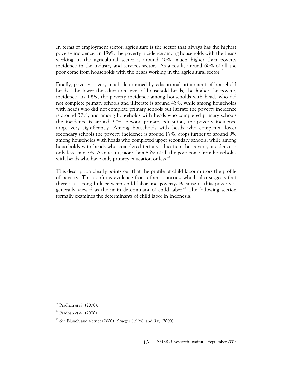In terms of employment sector, agriculture is the sector that always has the highest poverty incidence. In 1999, the poverty incidence among households with the heads working in the agricultural sector is around 40%, much higher than poverty incidence in the industry and services sectors. As a result, around 60% of all the poor come from households with the heads working in the agricultural sector.<sup>25</sup>

Finally, poverty is very much determined by educational attainment of household heads. The lower the education level of household heads, the higher the poverty incidence. In 1999, the poverty incidence among households with heads who did not complete primary schools and illiterate is around 48%, while among households with heads who did not complete primary schools but literate the poverty incidence is around 37%, and among households with heads who completed primary schools the incidence is around 30%. Beyond primary education, the poverty incidence drops very significantly. Among households with heads who completed lower secondary schools the poverty incidence is around 17%, drops further to around 9% among households with heads who completed upper secondary schools, while among households with heads who completed tertiary education the poverty incidence is only less than 2%. As a result, more than 85% of all the poor come from households with heads who have only primary education or less.<sup>26</sup>

This description clearly points out that the profile of child labor mirrors the profile of poverty. This confirms evidence from other countries, which also suggests that there is a strong link between child labor and poverty. Because of this, poverty is generally viewed as the main determinant of child labor.<sup>27</sup> The following section formally examines the determinants of child labor in Indonesia.

<sup>25</sup> Pradhan *et al.* (2000).

<sup>26</sup> Pradhan *et al.* (2000).

 $27$  See Blunch and Verner (2000), Krueger (1996), and Ray (2000).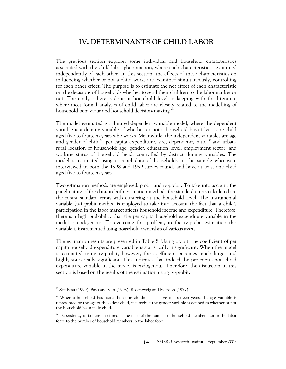# **IV. DETERMINANTS OF CHILD LABOR**

The previous section explores some individual and household characteristics associated with the child labor phenomenon, where each characteristic is examined independently of each other. In this section, the effects of these characteristics on influencing whether or not a child works are examined simultaneously, controlling for each other effect. The purpose is to estimate the net effect of each characteristic on the decisions of households whether to send their children to the labor market or not. The analysis here is done at household level in keeping with the literature where most formal analyses of child labor are closely related to the modelling of household behaviour and household decision-making.<sup>28</sup>

The model estimated is a limited-dependent-variable model, where the dependent variable is a dummy variable of whether or not a household has at least one child aged five to fourteen years who works. Meanwhile, the independent variables are age and gender of child<sup>29</sup>; per capita expenditure, size, dependency ratio.<sup>30</sup> and urbanrural location of household; age, gender, education level, employment sector, and working status of household head; controlled by district dummy variables. The model is estimated using a panel data of households in the sample who were interviewed in both the 1998 and 1999 survey rounds and have at least one child aged five to fourteen years.

Two estimation methods are employed: probit and iv-probit. To take into account the panel nature of the data, in both estimation methods the standard errors calculated are the robust standard errors with clustering at the household level. The instrumental variable (iv) probit method is employed to take into account the fact that a child's participation in the labor market affects household income and expenditure. Therefore, there is a high probability that the per capita household expenditure variable in the model is endogenous. To overcome this problem, in the iv-probit estimation this variable is instrumented using household ownership of various assets.

The estimation results are presented in Table 8. Using probit, the coefficient of per capita household expenditure variable is statistically insignificant. When the model is estimated using iv-probit, however, the coefficient becomes much larger and highly statistically significant. This indicates that indeed the per capita household expenditure variable in the model is endogenous. Therefore, the discussion in this section is based on the results of the estimation using iv-probit.

 $\ddot{\phantom{a}}$ 

 $28$  See Basu (1999), Basu and Van (1998), Rosenzweig and Evenson (1977).

 $29$  When a household has more than one children aged five to fourteen years, the age variable is represented by the age of the oldest child, meanwhile the gender variable is defined as whether or not the household has a male child.

<sup>&</sup>lt;sup>30</sup> Dependency ratio here is defined as the ratio of the number of household members not in the labor force to the number of household members in the labor force.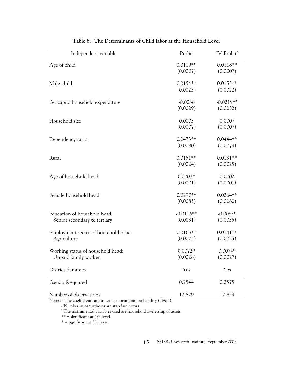| Independent variable                 | Probit      | IV-Probit <sup>ª</sup> |
|--------------------------------------|-------------|------------------------|
| Age of child                         | $0.0119**$  | $0.0118**$             |
|                                      | (0.0007)    | (0.0007)               |
| Male child                           | $0.0154**$  | $0.0153**$             |
|                                      | (0.0023)    | (0.0022)               |
| Per capita household expenditure     | $-0.0038$   | $-0.0219**$            |
|                                      | (0.0029)    | (0.0052)               |
| Household size                       | 0.0003      | 0.0007                 |
|                                      | (0.0007)    | (0.0007)               |
| Dependency ratio                     | $0.0473**$  | $0.0444**$             |
|                                      | (0.0080)    | (0.0079)               |
| Rural                                | $0.0151**$  | $0.0131**$             |
|                                      | (0.0024)    | (0.0025)               |
| Age of household head                | $0.0002*$   | 0.0002                 |
|                                      | (0.0001)    | (0.0001)               |
| Female household head                | $0.0297**$  | $0.0264**$             |
|                                      | (0.0085)    | (0.0080)               |
| Education of household head:         | $-0.0116**$ | $-0.0085*$             |
| Senior secondary & tertiary          | (0.0031)    | (0.0035)               |
| Employment sector of household head: | $0.0163**$  | $0.0141**$             |
| Agriculture                          | (0.0025)    | (0.0025)               |
| Working status of household head:    | $0.0072*$   | $0.0074*$              |
| Unpaid family worker                 | (0.0028)    | (0.0027)               |
| District dummies                     | Yes         | Yes                    |
| Pseudo R-squared                     | 0.2544      | 0.2575                 |
| Number of observations               | 12,829      | 12,829                 |

|  | Table 8. The Determinants of Child labor at the Household Level |  |
|--|-----------------------------------------------------------------|--|
|--|-----------------------------------------------------------------|--|

Notes: - The coefficients are in terms of marginal probability (dF/dx).

- Number in parentheses are standard errors.

<sup>a</sup> The instrumental variables used are household ownership of assets.

\*\* = significant at 1% level.

 $*$  = significant at 5% level.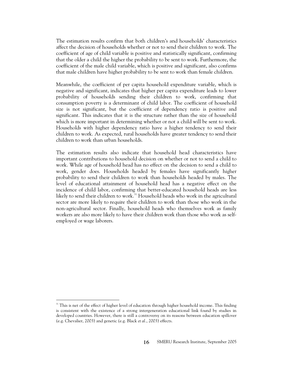The estimation results confirm that both children's and households' characteristics affect the decision of households whether or not to send their children to work. The coefficient of age of child variable is positive and statistically significant, confirming that the older a child the higher the probability to be sent to work. Furthermore, the coefficient of the male child variable, which is positive and significant, also confirms that male children have higher probability to be sent to work than female children.

Meanwhile, the coefficient of per capita household expenditure variable, which is negative and significant, indicates that higher per capita expenditure leads to lower probability of households sending their children to work, confirming that consumption poverty is a determinant of child labor. The coefficient of household size is not significant, but the coefficient of dependency ratio is positive and significant. This indicates that it is the structure rather than the size of household which is more important in determining whether or not a child will be sent to work. Households with higher dependency ratio have a higher tendency to send their children to work. As expected, rural households have greater tendency to send their children to work than urban households.

The estimation results also indicate that household head characteristics have important contributions to household decision on whether or not to send a child to work. While age of household head has no effect on the decision to send a child to work, gender does. Households headed by females have significantly higher probability to send their children to work than households headed by males. The level of educational attainment of household head has a negative effect on the incidence of child labor, confirming that better-educated household heads are less likely to send their children to work.<sup>31</sup> Household heads who work in the agricultural sector are more likely to require their children to work than those who work in the non-agricultural sector. Finally, household heads who themselves work as family workers are also more likely to have their children work than those who work as selfemployed or wage laborers.

<sup>&</sup>lt;sup>31</sup> This is net of the effect of higher level of education through higher household income. This finding is consistent with the existence of a strong intergeneration educational link found by studies in developed countries. However, there is still a controversy on its reasons between education spillover (e.g. Chevalier, 2003) and genetic (e.g. Black *et al.*, 2003) effects.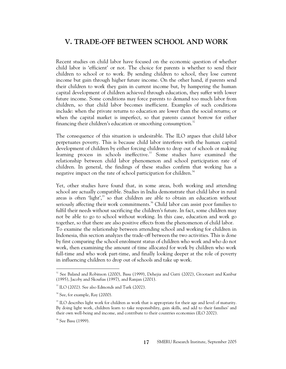# **V. TRADE-OFF BETWEEN SCHOOL AND WORK**

Recent studies on child labor have focused on the economic question of whether child labor is 'efficient' or not. The choice for parents is whether to send their children to school or to work. By sending children to school, they lose current income but gain through higher future income. On the other hand, if parents send their children to work they gain in current income but, by hampering the human capital development of children achieved through education, they suffer with lower future income. Some conditions may force parents to demand too much labor from children, so that child labor becomes inefficient. Examples of such conditions include: when the private returns to education are lower than the social returns; or when the capital market is imperfect, so that parents cannot borrow for either financing their children's education or smoothing consumption. $^{32}$ 

The consequence of this situation is undesirable. The ILO argues that child labor perpetuates poverty. This is because child labor interferes with the human capital development of children by either forcing children to drop out of schools or making learning process in schools ineffective.<sup>33</sup> Some studies have examined the relationship between child labor phenomenon and school participation rate of children. In general, the findings of these studies confirm that working has a negative impact on the rate of school participation for children.<sup>34</sup>

Yet, other studies have found that, in some areas, both working and attending school are actually compatible. Studies in India demonstrate that child labor in rural areas is often 'light', $35$  so that children are able to obtain an education without seriously affecting their work commitments.<sup>36</sup> Child labor can assist poor families to fulfil their needs without sacrificing the children's future. In fact, some children may not be able to go to school without working. In this case, education and work go together, so that there are also positive effects from the phenomenon of child labor. To examine the relationship between attending school and working for children in Indonesia, this section analyzes the trade-off between the two activities. This is done by first comparing the school enrolment status of children who work and who do not work, then examining the amount of time allocated for work by children who work full-time and who work part-time, and finally looking deeper at the role of poverty in influencing children to drop out of schools and take up work.

<sup>&</sup>lt;sup>32</sup> See Baland and Robinson (2000), Basu (1999), Dehejia and Gatti (2002), Grootaert and Kanbur (1995), Jacoby and Skoufias (1997), and Ranjan (2001).

<sup>&</sup>lt;sup>33</sup> ILO (2002). See also Edmonds and Turk (2002).

 $34$  See, for example, Ray (2000).

<sup>&</sup>lt;sup>35</sup> ILO describes light work for children as work that is appropriate for their age and level of maturity. By doing light work, children learn to take responsibility, gain skills, and add to their families' and their own well-being and income, and contribute to their countries economies (ILO 2002).

<sup>&</sup>lt;sup>36</sup> See Basu (1999).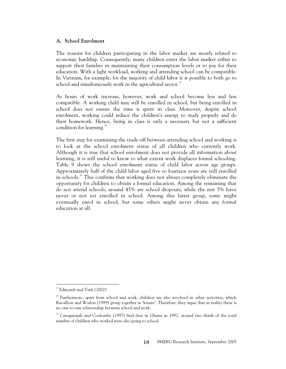### **A. School Enrolment**

The reasons for children participating in the labor market are mostly related to economic hardship. Consequently, many children enter the labor market either to support their families in maintaining their consumption levels or to pay for their education. With a light workload, working and attending school can be compatible. In Vietnam, for example, for the majority of child labor it is possible to both go to school and simultaneously work in the agricultural sector. $37$ 

As hours of work increase, however, work and school become less and less compatible. A working child may still be enrolled in school, but being enrolled in school does not ensure the time is spent in class. Moreover, despite school enrolment, working could reduce the children's energy to study properly and do their homework. Hence, being in class is only a necessary but not a sufficient condition for learning.<sup>38</sup>

The first step for examining the trade-off between attending school and working is to look at the school enrolment status of all children who currently work. Although it is true that school enrolment does not provide all information about learning, it is still useful to know to what extent work displaces formal schooling. Table 9 shows the school enrolment status of child labor across age groups. Approximately half of the child labor aged five to fourteen years are still enrolled in schools.39 This confirms that working does not always completely eliminate the opportunity for children to obtain a formal education. Among the remaining that do not attend schools, around 45% are school dropouts, while the rest 5% have never or not yet enrolled in school. Among this latter group, some might eventually enrol in school, but some others might never obtain any formal education at all.

 $\ddot{\phantom{a}}$ <sup>37</sup> Edmonds and Turk (2002).

<sup>&</sup>lt;sup>38</sup> Furthermore, apart from school and work, children are also involved in other activities, which Ravallion and Wodon (1999) group together as 'leisure'. Therefore, they argue that in reality there is no one-to-one relationship between school and work.

<sup>&</sup>lt;sup>39</sup> Canagarajah and Coulombe (1997) find that in Ghana in 1992, around two thirds of the total number of children who worked were also going to school.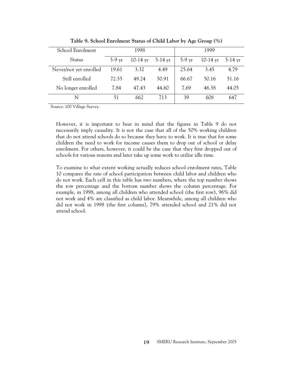| School Enrolment       |                  | 1998       |           |          | 1999       |                   |
|------------------------|------------------|------------|-----------|----------|------------|-------------------|
| <b>Status</b>          | $5-9 \text{ yr}$ | $10-14$ yr | $5-14$ yr | $5-9$ yr | $10-14$ yr | $5-14 \text{ yr}$ |
| Never/not yet enrolled | 19.61            | 3.32       | 4.49      | 25.64    | 3.45       | 4.79              |
| Still enrolled         | 72.55            | 49.24      | 50.91     | 66.67    | 50.16      | 51.16             |
| No longer enrolled     | 7.84             | 47.43      | 44.60     | 7.69     | 46.38      | 44.05             |
| N                      | 51               | 662        | 713       | 39       | 608        | 647               |
|                        |                  |            |           |          |            |                   |

**Table 9. School Enrolment Status of Child Labor by Age Group (%)** 

Source: 100 Village Survey.

However, it is important to bear in mind that the figures in Table 9 do not necessarily imply causality. It is not the case that all of the 50% working children that do not attend schools do so because they have to work. It is true that for some children the need to work for income causes them to drop out of school or delay enrolment. For others, however, it could be the case that they first dropped out of schools for various reasons and later take up some work to utilize idle time.

To examine to what extent working actually reduces school enrolment rates, Table 10 compares the rate of school participation between child labor and children who do not work. Each cell in this table has two numbers, where the top number shows the row percentage and the bottom number shows the column percentage. For example, in 1998, among all children who attended school (the first row), 96% did not work and 4% are classified as child labor. Meanwhile, among all children who did not work in 1998 (the first column), 79% attended school and 21% did not attend school.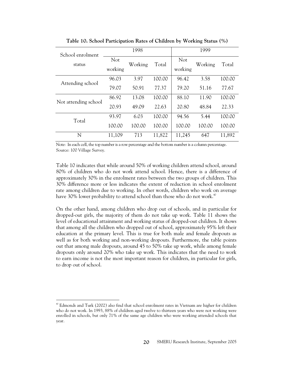| School enrolment     | 1998           |         |        | 1999           |         |        |
|----------------------|----------------|---------|--------|----------------|---------|--------|
| status               | Not<br>working | Working | Total  | Not<br>working | Working | Total  |
| Attending school     | 96.03          | 3.97    | 100.00 | 96.42          | 3.58    | 100.00 |
|                      | 79.07          | 50.91   | 77.37  | 79.20          | 51.16   | 77.67  |
| Not attending school | 86.92          | 13.08   | 100.00 | 88.10          | 11.90   | 100.00 |
|                      | 20.93          | 49.09   | 22.63  | 20.80          | 48.84   | 22.33  |
| Total                | 93.97          | 6.03    | 100.00 | 94.56          | 5.44    | 100.00 |
|                      | 100.00         | 100.00  | 100.00 | 100.00         | 100.00  | 100.00 |
| N                    | 11,109         | 713     | 11,822 | 11,245         | 647     | 11,892 |

**Table 10. School Participation Rates of Children by Working Status (%)** 

Note: In each cell, the top number is a row percentage and the bottom number is a column percentage. Source: 100 Village Survey.

Table 10 indicates that while around 50% of working children attend school, around 80% of children who do not work attend school. Hence, there is a difference of approximately 30% in the enrolment rates between the two groups of children. This 30% difference more or less indicates the extent of reduction in school enrolment rate among children due to working. In other words, children who work on average have 30% lower probability to attend school than those who do not work. $^{40}$ 

On the other hand, among children who drop out of schools, and in particular for dropped-out girls, the majority of them do not take up work. Table 11 shows the level of educational attainment and working status of dropped-out children. It shows that among all the children who dropped out of school, approximately 95% left their education at the primary level. This is true for both male and female dropouts as well as for both working and non-working dropouts. Furthermore, the table points out that among male dropouts, around 45 to 50% take up work, while among female dropouts only around 20% who take up work. This indicates that the need to work to earn income is not the most important reason for children, in particular for girls, to drop out of school.

<sup>&</sup>lt;sup>40</sup> Edmonds and Turk (2002) also find that school enrolment rates in Vietnam are higher for children who do not work. In 1993, 88% of children aged twelve to thirteen years who were not working were enrolled in schools, but only 71% of the same age children who were working attended schools that year.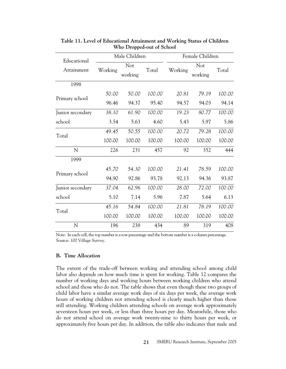| Educational      |         | Male Children  |        | Female Children |                |        |  |
|------------------|---------|----------------|--------|-----------------|----------------|--------|--|
| Attainment       | Working | Not<br>working | Total  | Working         | Not<br>working | Total  |  |
| 1998             |         |                |        |                 |                |        |  |
| Primary school   | 50.00   | 50.00          | 100.00 | 20.81           | 79.19          | 100.00 |  |
|                  | 96.46   | 94.37          | 95.40  | 94.57           | 94.03          | 94.14  |  |
| Junior secondary | 38.10   | 61.90          | 100.00 | 19.23           | 80.77          | 100.00 |  |
| school           | 3.54    | 5.63           | 4.60   | 5.43            | 5.97           | 5.86   |  |
| Total            | 49.45   | 50.55          | 100.00 | 20.72           | 79.28          | 100.00 |  |
|                  | 100.00  | 100.00         | 100.00 | 100.00          | 100.00         | 100.00 |  |
| N                | 226     | 231            | 457    | 92              | 352            | 444    |  |
| 1999             |         |                |        |                 |                |        |  |
| Primary school   | 45.70   | 54.30          | 100.00 | 21.41           | 78.59          | 100.00 |  |
|                  | 94.90   | 92.86          | 93.78  | 92.13           | 94.36          | 93.87  |  |
| Junior secondary | 37.04   | 62.96          | 100.00 | 28.00           | 72.00          | 100.00 |  |
| school           | 5.10    | 7.14           | 5.96   | 7.87            | 5.64           | 6.13   |  |
| Total            | 45.16   | 54.84          | 100.00 | 21.81           | 78.19          | 100.00 |  |
|                  | 100.00  | 100.00         | 100.00 | 100.00          | 100.00         | 100.00 |  |
| N                | 196     | 238            | 434    | 89              | 319            | 408    |  |

**Table 11. Level of Educational Attainment and Working Status of Children Who Dropped-out of School** 

Note: In each cell, the top number is a row percentage and the bottom number is a column percentage. Source: 100 Village Survey.

#### **B. Time Allocation**

The extent of the trade-off between working and attending school among child labor also depends on how much time is spent for working. Table 12 compares the number of working days and working hours between working children who attend school and those who do not. The table shows that even though these two groups of child labor have a similar average work days of six days per week, the average work hours of working children not attending school is clearly much higher than those still attending. Working children attending schools on average work approximately seventeen hours per week, or less than three hours per day. Meanwhile, those who do not attend school on average work twenty-nine to thirty hours per week, or approximately five hours per day. In addition, the table also indicates that male and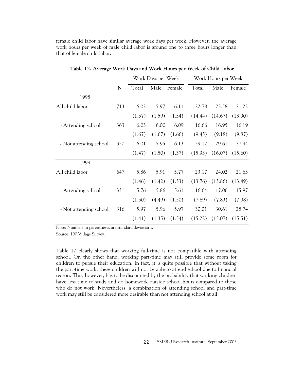female child labor have similar average work days per week. However, the average work hours per week of male child labor is around one to three hours longer than that of female child labor.

|                        |             | Work Days per Week |        | Work Hours per Week |         |         |         |
|------------------------|-------------|--------------------|--------|---------------------|---------|---------|---------|
|                        | $\mathbf N$ | Total              | Male   | Female              | Total   | Male    | Female  |
| 1998                   |             |                    |        |                     |         |         |         |
| All child labor        | 713         | 6.02               | 5.97   | 6.11                | 22.78   | 23.58   | 21.22   |
|                        |             | (1.57)             | (1.59) | (1.54)              | (14.44) | (14.67) | (13.90) |
| - Attending school     | 363         | 6.03               | 6.00   | 6.09                | 16.66   | 16.95   | 16.19   |
|                        |             | (1.67)             | (1.67) | (1.66)              | (9.45)  | (9.18)  | (9.87)  |
| - Not attending school | 350         | 6.01               | 5.95   | 6.13                | 29.12   | 29.61   | 27.94   |
|                        |             | (1.47)             | (1.50) | (1.37)              | (15.93) | (16.07) | (15.60) |
| 1999                   |             |                    |        |                     |         |         |         |
| All child labor        | 647         | 5.86               | 5.91   | 5.77                | 23.17   | 24.02   | 21.63   |
|                        |             | (1.46)             | (1.42) | (1.53)              | (13.76) | (13.86) | (13.49) |
| - Attending school     | 331         | 5.76               | 5.86   | 5.61                | 16.64   | 17.06   | 15.97   |
|                        |             | (1.50)             | (4.49) | (1.50)              | (7.89)  | (7.83)  | (7.98)  |
| - Not attending school | 316         | 5.97               | 5.96   | 5.97                | 30.01   | 30.61   | 28.74   |
|                        |             | (1.41)             | (1.35) | (1.54)              | (15.22) | (15.07) | (15.51) |

**Table 12. Average Work Days and Work Hours per Week of Child Labor** 

Note: Numbers in parentheses are standard deviations. Source: 100 Village Survey.

Table 12 clearly shows that working full-time is not compatible with attending school. On the other hand, working part-time may still provide some room for children to pursue their education. In fact, it is quite possible that without taking the part-time work, these children will not be able to attend school due to financial reason. This, however, has to be discounted by the probability that working children have less time to study and do homework outside school hours compared to those who do not work. Nevertheless, a combination of attending school and part-time work may still be considered more desirable than not attending school at all.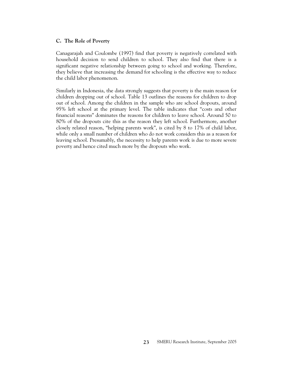# **C. The Role of Poverty**

Canagarajah and Coulombe (1997) find that poverty is negatively correlated with household decision to send children to school. They also find that there is a significant negative relationship between going to school and working. Therefore, they believe that increasing the demand for schooling is the effective way to reduce the child labor phenomenon.

Similarly in Indonesia, the data strongly suggests that poverty is the main reason for children dropping out of school. Table 13 outlines the reasons for children to drop out of school. Among the children in the sample who are school dropouts, around 95% left school at the primary level. The table indicates that "costs and other financial reasons" dominates the reasons for children to leave school. Around 50 to 80% of the dropouts cite this as the reason they left school. Furthermore, another closely related reason, "helping parents work", is cited by 8 to 17% of child labor, while only a small number of children who do not work considers this as a reason for leaving school. Presumably, the necessity to help parents work is due to more severe poverty and hence cited much more by the dropouts who work.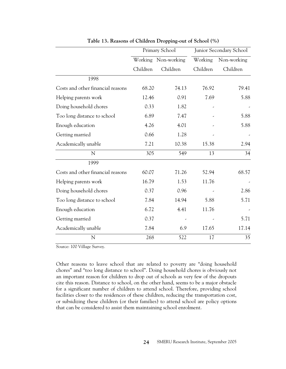|                                   |          | Primary School | Junior Secondary School |             |  |
|-----------------------------------|----------|----------------|-------------------------|-------------|--|
|                                   | Working  | Non-working    | Working                 | Non-working |  |
|                                   | Children | Children       | Children                | Children    |  |
| 1998                              |          |                |                         |             |  |
| Costs and other financial reasons | 68.20    | 74.13          | 76.92                   | 79.41       |  |
| Helping parents work              | 12.46    | 0.91           | 7.69                    | 5.88        |  |
| Doing household chores            | 0.33     | 1.82           |                         |             |  |
| Too long distance to school       | 6.89     | 7.47           |                         | 5.88        |  |
| Enough education                  | 4.26     | 4.01           |                         | 5.88        |  |
| Getting married                   | 0.66     | 1.28           |                         |             |  |
| Academically unable               | 7.21     | 10.38          | 15.38                   | 2.94        |  |
| N                                 | 305      | 549            | 13                      | 34          |  |
| 1999                              |          |                |                         |             |  |
| Costs and other financial reasons | 60.07    | 71.26          | 52.94                   | 68.57       |  |
| Helping parents work              | 16.79    | 1.53           | 11.76                   |             |  |
| Doing household chores            | 0.37     | 0.96           |                         | 2.86        |  |
| Too long distance to school       | 7.84     | 14.94          | 5.88                    | 5.71        |  |
| Enough education                  | 6.72     | 4.41           | 11.76                   |             |  |
| Getting married                   | 0.37     |                |                         | 5.71        |  |
| Academically unable               | 7.84     | 6.9            | 17.65                   | 17.14       |  |
| N                                 | 268      | 522            | 17                      | 35          |  |

**Table 13. Reasons of Children Dropping-out of School (%)** 

Source: 100 Village Survey.

Other reasons to leave school that are related to poverty are "doing household chores" and "too long distance to school". Doing household chores is obviously not an important reason for children to drop out of schools as very few of the dropouts cite this reason. Distance to school, on the other hand, seems to be a major obstacle for a significant number of children to attend school. Therefore, providing school facilities closer to the residences of these children, reducing the transportation cost, or subsidizing these children (or their families) to attend school are policy options that can be considered to assist them maintaining school enrolment.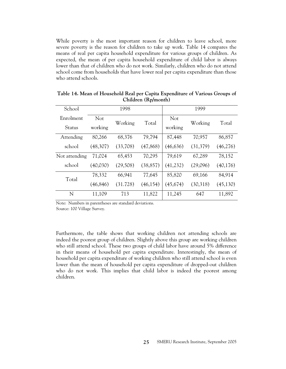While poverty is the most important reason for children to leave school, more severe poverty is the reason for children to take up work. Table 14 compares the means of real per capita household expenditure for various groups of children. As expected, the mean of per capita household expenditure of child labor is always lower than that of children who do not work. Similarly, children who do not attend school come from households that have lower real per capita expenditure than those who attend schools.

| School        |          | 1998      |           | 1999      |          |           |  |
|---------------|----------|-----------|-----------|-----------|----------|-----------|--|
| Enrolment     | Not      | Working   | Total     | Not       | Working  | Total     |  |
| <b>Status</b> | working  |           |           | working   |          |           |  |
| Attending     | 80,266   | 68,376    | 79,794    | 87,448    | 70,957   | 86,857    |  |
| school        | (48,307) | (33,708)  | (47, 868) | (46, 636) | (31,379) | (46,276)  |  |
| Not attending | 71,024   | 65,453    | 70,295    | 79,619    | 67,289   | 78,152    |  |
| school        | (40,030) | (29, 508) | (38, 857) | (41, 232) | (29,096) | (40, 176) |  |
| Total         | 78,332   | 66,941    | 77,645    | 85,820    | 69,166   | 84,914    |  |
|               | (46,846) | (31.728)  | (46, 154) | (45,674)  | (30,318) | (45, 130) |  |
| N             | 11,109   | 713       | 11,822    | 11,245    | 647      | 11,892    |  |

**Table 14. Mean of Household Real per Capita Expenditure of Various Groups of Children (Rp/month)** 

Note: Numbers in parentheses are standard deviations.

Source: 100 Village Survey.

Furthermore, the table shows that working children not attending schools are indeed the poorest group of children. Slightly above this group are working children who still attend school. These two groups of child labor have around 5% difference in their means of household per capita expenditure. Interestingly, the mean of household per capita expenditure of working children who still attend school is even lower than the mean of household per capita expenditure of dropped-out children who do not work. This implies that child labor is indeed the poorest among children.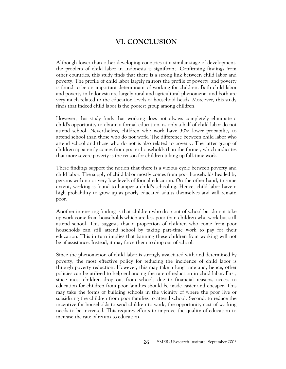# **VI. CONCLUSION**

Although lower than other developing countries at a similar stage of development, the problem of child labor in Indonesia is significant. Confirming findings from other countries, this study finds that there is a strong link between child labor and poverty. The profile of child labor largely mirrors the profile of poverty, and poverty is found to be an important determinant of working for children. Both child labor and poverty in Indonesia are largely rural and agricultural phenomena, and both are very much related to the education levels of household heads. Moreover, this study finds that indeed child labor is the poorest group among children.

However, this study finds that working does not always completely eliminate a child's opportunity to obtain a formal education, as only a half of child labor do not attend school. Nevertheless, children who work have 30% lower probability to attend school than those who do not work. The difference between child labor who attend school and those who do not is also related to poverty. The latter group of children apparently comes from poorer households than the former, which indicates that more severe poverty is the reason for children taking up full-time work.

These findings support the notion that there is a vicious cycle between poverty and child labor. The supply of child labor mostly comes from poor households headed by persons with no or very low levels of formal education. On the other hand, to some extent, working is found to hamper a child's schooling. Hence, child labor have a high probability to grow up as poorly educated adults themselves and will remain poor.

Another interesting finding is that children who drop out of school but do not take up work come from households which are less poor than children who work but still attend school. This suggests that a proportion of children who come from poor households can still attend school by taking part-time work to pay for their education. This in turn implies that banning these children from working will not be of assistance. Instead, it may force them to drop out of school.

Since the phenomenon of child labor is strongly associated with and determined by poverty, the most effective policy for reducing the incidence of child labor is through poverty reduction. However, this may take a long time and, hence, other policies can be utilized to help enhancing the rate of reduction in child labor. First, since most children drop out from schools due to financial reasons, access to education for children from poor families should be made easier and cheaper. This may take the forms of building schools in the vicinity of where the poor live or subsidizing the children from poor families to attend school. Second, to reduce the incentive for households to send children to work, the opportunity cost of working needs to be increased. This requires efforts to improve the quality of education to increase the rate of return to education.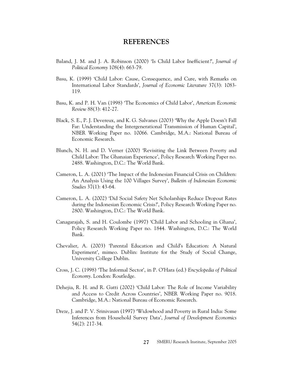# **REFERENCES**

- Baland, J. M. and J. A. Robinson (2000) 'Is Child Labor Inefficient?', *Journal of Political Economy* 108(4): 663-79.
- Basu, K. (1999) 'Child Labor: Cause, Consequence, and Cure, with Remarks on International Labor Standards', *Journal of Economic Literature* 37(3): 1083- 119.
- Basu, K. and P. H. Van (1998) 'The Economics of Child Labor', *American Economic Review* 88(3): 412-27.
- Black, S. E., P. J. Devereux, and K. G. Salvanes (2003) 'Why the Apple Doesn't Fall Far: Understanding the Intergenerational Transmission of Human Capital', NBER Working Paper no. 10066. Cambridge, M.A.: National Bureau of Economic Research.
- Blunch, N. H. and D. Verner (2000) 'Revisiting the Link Between Poverty and Child Labor: The Ghanaian Experience', Policy Research Working Paper no. 2488. Washington, D.C.: The World Bank.
- Cameron, L. A. (2001) 'The Impact of the Indonesian Financial Crisis on Children: An Analysis Using the 100 Villages Survey', *Bulletin of Indonesian Economic Studies* 37(1): 43-64.
- Cameron, L. A. (2002) 'Did Social Safety Net Scholarships Reduce Dropout Rates during the Indonesian Economic Crisis?', Policy Research Working Paper no. 2800. Washington, D.C.: The World Bank.
- Canagarajah, S. and H. Coulombe (1997) 'Child Labor and Schooling in Ghana', Policy Research Working Paper no. 1844. Washington, D.C.: The World Bank.
- Chevalier, A. (2003) 'Parental Education and Child's Education: A Natural Experiment', mimeo. Dublin: Institute for the Study of Social Change, University College Dublin.
- Cross, J. C. (1998) 'The Informal Sector', in P. O'Hara (ed.) *Encyclopedia of Political Economy*. London: Routledge.
- Dehejia, R. H. and R. Gatti (2002) 'Child Labor: The Role of Income Variability and Access to Credit Across Countries', NBER Working Paper no. 9018. Cambridge, M.A.: National Bureau of Economic Research.
- Dreze, J. and P. V. Srinivasan (1997) 'Widowhood and Poverty in Rural India: Some Inferences from Household Survey Data', *Journal of Development Economics* 54(2): 217-34.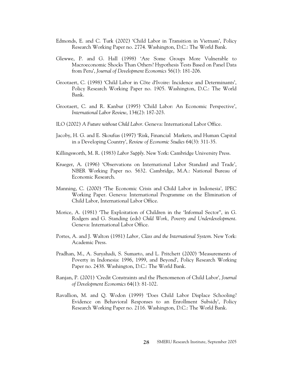- Edmonds, E. and C. Turk (2002) 'Child Labor in Transition in Vietnam', Policy Research Working Paper no. 2774. Washington, D.C.: The World Bank.
- Glewwe, P. and G. Hall (1998) 'Are Some Groups More Vulnerable to Macroeconomic Shocks Than Others? Hypothesis Tests Based on Panel Data from Peru', *Journal of Development Economics* 56(1): 181-206.
- Grootaert, C. (1998) 'Child Labor in Côte d'Ivoire: Incidence and Determinants', Policy Research Working Paper no. 1905. Washington, D.C.: The World Bank.
- Grootaert, C. and R. Kanbur (1995) 'Child Labor: An Economic Perspective', *International Labor Review*, 134(2): 187-203.
- ILO (2002) *A Future without Child Labor*. Geneva: International Labor Office.
- Jacoby, H. G. and E. Skoufias (1997) 'Risk, Financial Markets, and Human Capital in a Developing Country', *Review of Economic Studies* 64(3): 311-35.
- Killingsworth, M. R. (1983) *Labor Supply*. New York: Cambridge University Press.
- Krueger, A. (1996) 'Observations on International Labor Standard and Trade', NBER Working Paper no. 5632. Cambridge, M.A.: National Bureau of Economic Research.
- Manning, C. (2000) 'The Economic Crisis and Child Labor in Indonesia', IPEC Working Paper. Geneva: International Programme on the Elimination of Child Labor, International Labor Office.
- Morice, A. (1981) 'The Exploitation of Children in the 'Informal Sector'', in G. Rodgers and G. Standing (eds) *Child Work, Poverty and Underdevelopment*. Geneva: International Labor Office.
- Portes, A. and J. Walton (1981) *Labor, Class and the International System*. New York: Academic Press.
- Pradhan, M., A. Suryahadi, S. Sumarto, and L. Pritchett (2000) 'Measurements of Poverty in Indonesia: 1996, 1999, and Beyond', Policy Research Working Paper no. 2438. Washington, D.C.: The World Bank.
- Ranjan, P. (2001) 'Credit Constraints and the Phenomenon of Child Labor', *Journal of Development Economics* 64(1): 81-102.
- Ravallion, M. and Q. Wodon (1999) 'Does Child Labor Displace Schooling? Evidence on Behavioral Responses to an Enrollment Subsidy', Policy Research Working Paper no. 2116. Washington, D.C.: The World Bank.